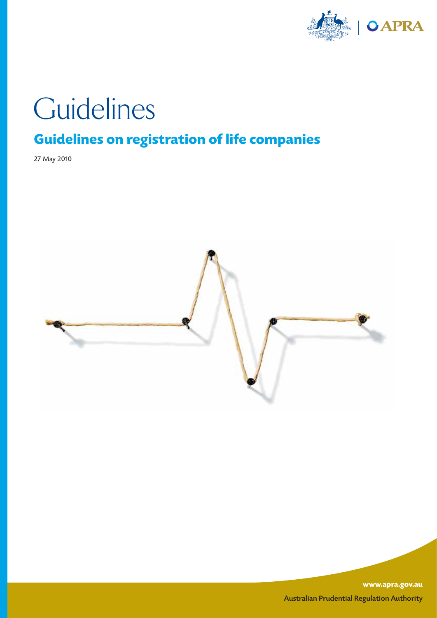

# **Guidelines**

# **Guidelines on registration of life companies**

27 May 2010



**www.apra.gov.au** Australian Prudential Regulation Authority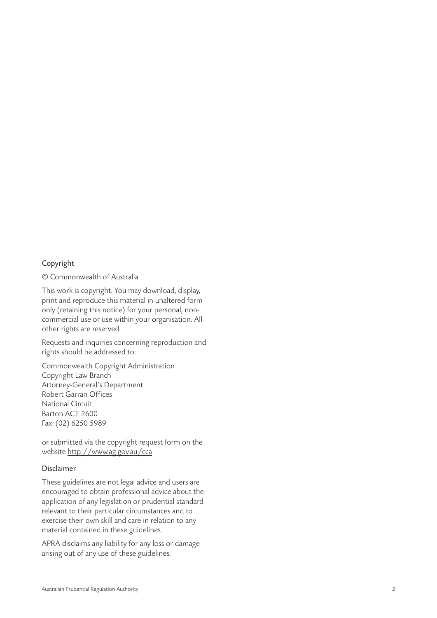#### Copyright

© Commonwealth of Australia

This work is copyright. You may download, display, print and reproduce this material in unaltered form only (retaining this notice) for your personal, noncommercial use or use within your organisation. All other rights are reserved.

Requests and inquiries concerning reproduction and rights should be addressed to:

Commonwealth Copyright Administration Copyright Law Branch Attorney-General's Department Robert Garran Offices National Circuit Barton ACT 2600 Fax: (02) 6250 5989

or submitted via the copyright request form on the website http://www.ag.gov.au/cca

#### Disclaimer

These guidelines are not legal advice and users are encouraged to obtain professional advice about the application of any legislation or prudential standard relevant to their particular circumstances and to exercise their own skill and care in relation to any material contained in these guidelines.

APRA disclaims any liability for any loss or damage arising out of any use of these guidelines.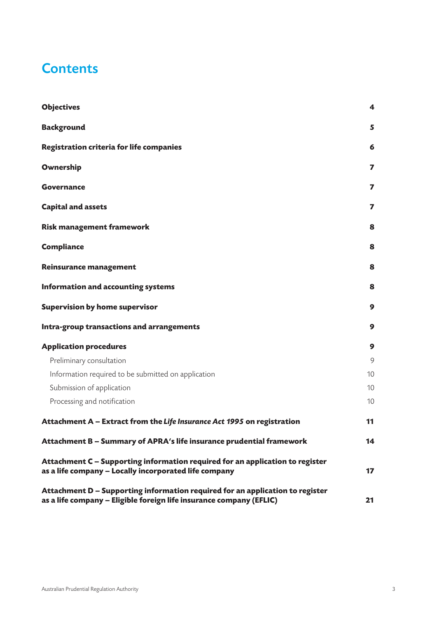# **Contents**

| <b>Objectives</b>                                                                                                                                    | 4  |
|------------------------------------------------------------------------------------------------------------------------------------------------------|----|
| <b>Background</b>                                                                                                                                    | 5  |
| <b>Registration criteria for life companies</b>                                                                                                      | 6  |
| Ownership                                                                                                                                            | 7  |
| <b>Governance</b>                                                                                                                                    | 7  |
| <b>Capital and assets</b>                                                                                                                            | 7  |
| <b>Risk management framework</b>                                                                                                                     | 8  |
| <b>Compliance</b>                                                                                                                                    | 8  |
| <b>Reinsurance management</b>                                                                                                                        | 8  |
| <b>Information and accounting systems</b>                                                                                                            | 8  |
| <b>Supervision by home supervisor</b>                                                                                                                | 9  |
| Intra-group transactions and arrangements                                                                                                            | 9  |
| <b>Application procedures</b>                                                                                                                        | 9  |
| Preliminary consultation                                                                                                                             | 9  |
| Information required to be submitted on application                                                                                                  | 10 |
| Submission of application                                                                                                                            | 10 |
| Processing and notification                                                                                                                          | 10 |
| Attachment A - Extract from the Life Insurance Act 1995 on registration                                                                              | 11 |
| Attachment B - Summary of APRA's life insurance prudential framework                                                                                 | 14 |
| Attachment C - Supporting information required for an application to register<br>as a life company - Locally incorporated life company               | 17 |
| Attachment D - Supporting information required for an application to register<br>as a life company - Eligible foreign life insurance company (EFLIC) | 21 |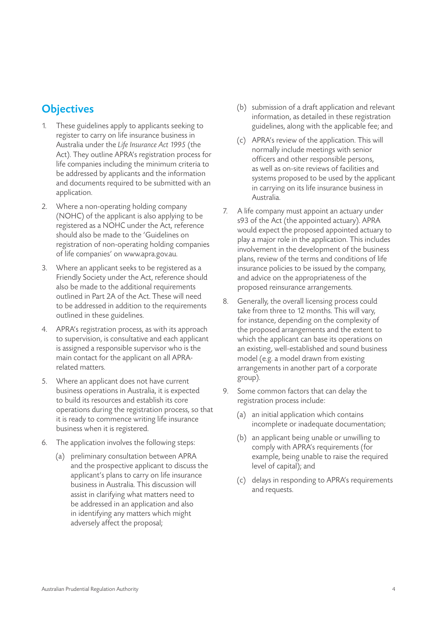# **Objectives**

- These guidelines apply to applicants seeking to register to carry on life insurance business in Australia under the *Life Insurance Act 1995* (the Act). They outline APRA's registration process for life companies including the minimum criteria to be addressed by applicants and the information and documents required to be submitted with an application.
- 2. Where a non-operating holding company (NOHC) of the applicant is also applying to be registered as a NOHC under the Act, reference should also be made to the 'Guidelines on registration of non-operating holding companies of life companies' on www.apra.gov.au.
- 3. Where an applicant seeks to be registered as a Friendly Society under the Act, reference should also be made to the additional requirements outlined in Part 2A of the Act. These will need to be addressed in addition to the requirements outlined in these guidelines.
- 4. APRA's registration process, as with its approach to supervision, is consultative and each applicant is assigned a responsible supervisor who is the main contact for the applicant on all APRArelated matters.
- 5. Where an applicant does not have current business operations in Australia, it is expected to build its resources and establish its core operations during the registration process, so that it is ready to commence writing life insurance business when it is registered.
- 6. The application involves the following steps:
	- (a) preliminary consultation between APRA and the prospective applicant to discuss the applicant's plans to carry on life insurance business in Australia. This discussion will assist in clarifying what matters need to be addressed in an application and also in identifying any matters which might adversely affect the proposal;
- (b) submission of a draft application and relevant information, as detailed in these registration guidelines, along with the applicable fee; and
- (c) APRA's review of the application. This will normally include meetings with senior officers and other responsible persons, as well as on-site reviews of facilities and systems proposed to be used by the applicant in carrying on its life insurance business in Australia.
- 7. A life company must appoint an actuary under s93 of the Act (the appointed actuary). APRA would expect the proposed appointed actuary to play a major role in the application. This includes involvement in the development of the business plans, review of the terms and conditions of life insurance policies to be issued by the company, and advice on the appropriateness of the proposed reinsurance arrangements.
- 8. Generally, the overall licensing process could take from three to 12 months. This will vary, for instance, depending on the complexity of the proposed arrangements and the extent to which the applicant can base its operations on an existing, well-established and sound business model (e.g. a model drawn from existing arrangements in another part of a corporate group).
- 9. Some common factors that can delay the registration process include:
	- (a) an initial application which contains incomplete or inadequate documentation;
	- (b) an applicant being unable or unwilling to comply with APRA's requirements (for example, being unable to raise the required level of capital); and
	- (c) delays in responding to APRA's requirements and requests.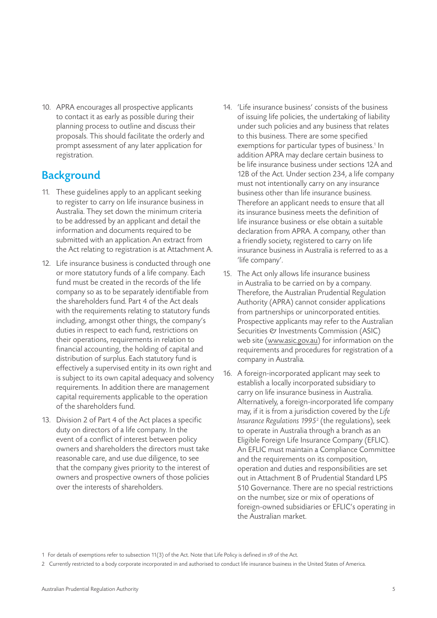10. APRA encourages all prospective applicants to contact it as early as possible during their planning process to outline and discuss their proposals. This should facilitate the orderly and prompt assessment of any later application for registration.

# **Background**

- 11. These guidelines apply to an applicant seeking to register to carry on life insurance business in Australia. They set down the minimum criteria to be addressed by an applicant and detail the information and documents required to be submitted with an application.An extract from the Act relating to registration is at Attachment A.
- 12. Life insurance business is conducted through one or more statutory funds of a life company. Each fund must be created in the records of the life company so as to be separately identifiable from the shareholders fund. Part 4 of the Act deals with the requirements relating to statutory funds including, amongst other things, the company's duties in respect to each fund, restrictions on their operations, requirements in relation to financial accounting, the holding of capital and distribution of surplus. Each statutory fund is effectively a supervised entity in its own right and is subject to its own capital adequacy and solvency requirements. In addition there are management capital requirements applicable to the operation of the shareholders fund.
- 13. Division 2 of Part 4 of the Act places a specific duty on directors of a life company. In the event of a conflict of interest between policy owners and shareholders the directors must take reasonable care, and use due diligence, to see that the company gives priority to the interest of owners and prospective owners of those policies over the interests of shareholders.
- 14. 'Life insurance business' consists of the business of issuing life policies, the undertaking of liability under such policies and any business that relates to this business. There are some specified exemptions for particular types of business.<sup>1</sup> In addition APRA may declare certain business to be life insurance business under sections 12A and 12B of the Act. Under section 234, a life company must not intentionally carry on any insurance business other than life insurance business. Therefore an applicant needs to ensure that all its insurance business meets the definition of life insurance business or else obtain a suitable declaration from APRA. A company, other than a friendly society, registered to carry on life insurance business in Australia is referred to as a 'life company'.
- 15. The Act only allows life insurance business in Australia to be carried on by a company. Therefore, the Australian Prudential Regulation Authority (APRA) cannot consider applications from partnerships or unincorporated entities. Prospective applicants may refer to the Australian Securities  $\mathfrak O$  Investments Commission (ASIC) web site (www.asic.gov.au) for information on the requirements and procedures for registration of a company in Australia.
- 16. A foreign-incorporated applicant may seek to establish a locally incorporated subsidiary to carry on life insurance business in Australia. Alternatively, a foreign-incorporated life company may, if it is from a jurisdiction covered by the *Life Insurance Regulations 1995*<sup>2</sup> (the regulations), seek to operate in Australia through a branch as an Eligible Foreign Life Insurance Company (EFLIC). An EFLIC must maintain a Compliance Committee and the requirements on its composition, operation and duties and responsibilities are set out in Attachment B of Prudential Standard LPS 510 Governance. There are no special restrictions on the number, size or mix of operations of foreign-owned subsidiaries or EFLIC's operating in the Australian market.

<sup>1</sup> For details of exemptions refer to subsection 11(3) of the Act. Note that Life Policy is defined in s9 of the Act.

<sup>2</sup> Currently restricted to a body corporate incorporated in and authorised to conduct life insurance business in the United States of America.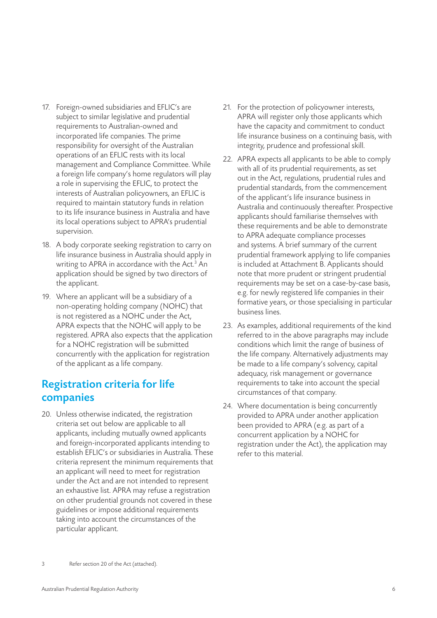- 17. Foreign-owned subsidiaries and EFLIC's are subject to similar legislative and prudential requirements to Australian-owned and incorporated life companies. The prime responsibility for oversight of the Australian operations of an EFLIC rests with its local management and Compliance Committee. While a foreign life company's home regulators will play a role in supervising the EFLIC, to protect the interests of Australian policyowners, an EFLIC is required to maintain statutory funds in relation to its life insurance business in Australia and have its local operations subject to APRA's prudential supervision.
- 18. A body corporate seeking registration to carry on life insurance business in Australia should apply in writing to APRA in accordance with the Act.<sup>3</sup> An application should be signed by two directors of the applicant.
- 19. Where an applicant will be a subsidiary of a non-operating holding company (NOHC) that is not registered as a NOHC under the Act, APRA expects that the NOHC will apply to be registered. APRA also expects that the application for a NOHC registration will be submitted concurrently with the application for registration of the applicant as a life company.

# Registration criteria for life companies

20. Unless otherwise indicated, the registration criteria set out below are applicable to all applicants, including mutually owned applicants and foreign-incorporated applicants intending to establish EFLIC's or subsidiaries in Australia. These criteria represent the minimum requirements that an applicant will need to meet for registration under the Act and are not intended to represent an exhaustive list. APRA may refuse a registration on other prudential grounds not covered in these guidelines or impose additional requirements taking into account the circumstances of the particular applicant.

- 21. For the protection of policyowner interests, APRA will register only those applicants which have the capacity and commitment to conduct life insurance business on a continuing basis, with integrity, prudence and professional skill.
- 22. APRA expects all applicants to be able to comply with all of its prudential requirements, as set out in the Act, regulations, prudential rules and prudential standards, from the commencement of the applicant's life insurance business in Australia and continuously thereafter. Prospective applicants should familiarise themselves with these requirements and be able to demonstrate to APRA adequate compliance processes and systems. A brief summary of the current prudential framework applying to life companies is included at Attachment B. Applicants should note that more prudent or stringent prudential requirements may be set on a case-by-case basis, e.g. for newly registered life companies in their formative years, or those specialising in particular business lines.
- 23. As examples, additional requirements of the kind referred to in the above paragraphs may include conditions which limit the range of business of the life company. Alternatively adjustments may be made to a life company's solvency, capital adequacy, risk management or governance requirements to take into account the special circumstances of that company.
- 24. Where documentation is being concurrently provided to APRA under another application been provided to APRA (e.g. as part of a concurrent application by a NOHC for registration under the Act), the application may refer to this material.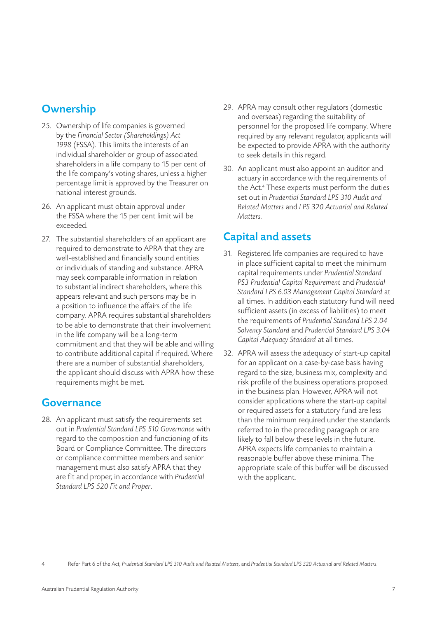# **Ownership**

- 25. Ownership of life companies is governed by the *Financial Sector (Shareholdings) Act 1998* (FSSA). This limits the interests of an individual shareholder or group of associated shareholders in a life company to 15 per cent of the life company's voting shares, unless a higher percentage limit is approved by the Treasurer on national interest grounds.
- 26. An applicant must obtain approval under the FSSA where the 15 per cent limit will be exceeded.
- 27. The substantial shareholders of an applicant are required to demonstrate to APRA that they are well-established and financially sound entities or individuals of standing and substance. APRA may seek comparable information in relation to substantial indirect shareholders, where this appears relevant and such persons may be in a position to influence the affairs of the life company. APRA requires substantial shareholders to be able to demonstrate that their involvement in the life company will be a long-term commitment and that they will be able and willing to contribute additional capital if required. Where there are a number of substantial shareholders, the applicant should discuss with APRA how these requirements might be met.

#### Governance

28. An applicant must satisfy the requirements set out in *Prudential Standard LPS 510 Governance* with regard to the composition and functioning of its Board or Compliance Committee. The directors or compliance committee members and senior management must also satisfy APRA that they are fit and proper, in accordance with *Prudential Standard LPS 520 Fit and Proper*.

- 29. APRA may consult other regulators (domestic and overseas) regarding the suitability of personnel for the proposed life company. Where required by any relevant regulator, applicants will be expected to provide APRA with the authority to seek details in this regard.
- 30. An applicant must also appoint an auditor and actuary in accordance with the requirements of the Act.<sup>4</sup> These experts must perform the duties set out in *Prudential Standard LPS 310 Audit and Related Matters* and *LPS 320 Actuarial and Related Matters.*

# Capital and assets

- 31. Registered life companies are required to have in place sufficient capital to meet the minimum capital requirements under *Prudential Standard PS3 Prudential Capital Requirement* and *Prudential Standard LPS 6.03 Management Capital Standard* at all times. In addition each statutory fund will need sufficient assets (in excess of liabilities) to meet the requirements of *Prudential Standard LPS 2.04 Solvency Standard* and *Prudential Standard LPS 3.04 Capital Adequacy Standard* at all times.
- 32. APRA will assess the adequacy of start-up capital for an applicant on a case-by-case basis having regard to the size, business mix, complexity and risk profile of the business operations proposed in the business plan. However, APRA will not consider applications where the start-up capital or required assets for a statutory fund are less than the minimum required under the standards referred to in the preceding paragraph or are likely to fall below these levels in the future. APRA expects life companies to maintain a reasonable buffer above these minima. The appropriate scale of this buffer will be discussed with the applicant.

4 Refer Part 6 of the Act, *Prudential Standard LPS 310 Audit and Related Matters*, and *Prudential Standard LPS 320 Actuarial and Related Matters*.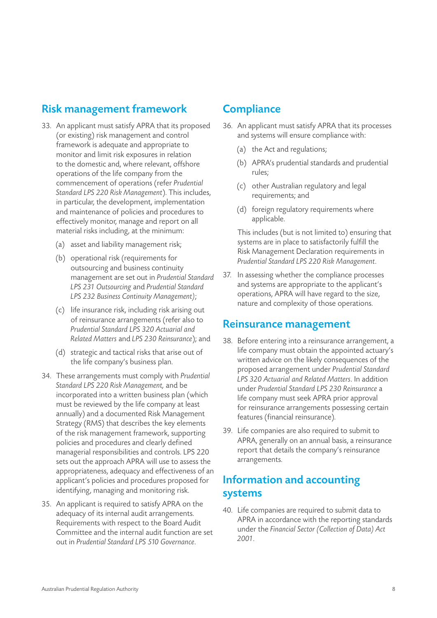# Risk management framework

- 33. An applicant must satisfy APRA that its proposed (or existing) risk management and control framework is adequate and appropriate to monitor and limit risk exposures in relation to the domestic and, where relevant, offshore operations of the life company from the commencement of operations (refer *Prudential Standard LPS 220 Risk Management*). This includes, in particular, the development, implementation and maintenance of policies and procedures to effectively monitor, manage and report on all material risks including, at the minimum:
	- (a) asset and liability management risk;
	- (b) operational risk (requirements for outsourcing and business continuity management are set out in *Prudential Standard LPS 231 Outsourcing* and *Prudential Standard LPS 232 Business Continuity Management)*;
	- (c) life insurance risk, including risk arising out of reinsurance arrangements (refer also to *Prudential Standard LPS 320 Actuarial and Related Matters* and *LPS 230 Reinsurance*); and
	- (d) strategic and tactical risks that arise out of the life company's business plan.
- 34. These arrangements must comply with *Prudential Standard LPS 220 Risk Management,* and be incorporated into a written business plan (which must be reviewed by the life company at least annually) and a documented Risk Management Strategy (RMS) that describes the key elements of the risk management framework, supporting policies and procedures and clearly defined managerial responsibilities and controls. LPS 220 sets out the approach APRA will use to assess the appropriateness, adequacy and effectiveness of an applicant's policies and procedures proposed for identifying, managing and monitoring risk.
- 35. An applicant is required to satisfy APRA on the adequacy of its internal audit arrangements. Requirements with respect to the Board Audit Committee and the internal audit function are set out in *Prudential Standard LPS 510 Governance*.

# **Compliance**

- 36. An applicant must satisfy APRA that its processes and systems will ensure compliance with:
	- (a) the Act and regulations;
	- (b) APRA's prudential standards and prudential rules;
	- (c) other Australian regulatory and legal requirements; and
	- (d) foreign regulatory requirements where applicable.

This includes (but is not limited to) ensuring that systems are in place to satisfactorily fulfill the Risk Management Declaration requirements in *Prudential Standard LPS 220 Risk Management*.

37. In assessing whether the compliance processes and systems are appropriate to the applicant's operations, APRA will have regard to the size, nature and complexity of those operations.

#### Reinsurance management

- 38. Before entering into a reinsurance arrangement, a life company must obtain the appointed actuary's written advice on the likely consequences of the proposed arrangement under *Prudential Standard LPS 320 Actuarial and Related Matters*. In addition under *Prudential Standard LPS 230 Reinsurance* a life company must seek APRA prior approval for reinsurance arrangements possessing certain features (financial reinsurance).
- 39. Life companies are also required to submit to APRA, generally on an annual basis, a reinsurance report that details the company's reinsurance arrangements.

# Information and accounting systems

40. Life companies are required to submit data to APRA in accordance with the reporting standards under the *Financial Sector (Collection of Data) Act 2001*.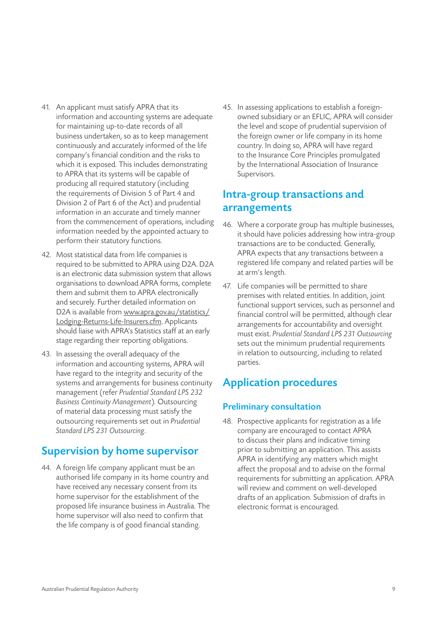- 41. An applicant must satisfy APRA that its information and accounting systems are adequate for maintaining up-to-date records of all business undertaken, so as to keep management continuously and accurately informed of the life company's financial condition and the risks to which it is exposed. This includes demonstrating to APRA that its systems will be capable of producing all required statutory (including the requirements of Division 5 of Part 4 and Division 2 of Part 6 of the Act) and prudential information in an accurate and timely manner from the commencement of operations, including information needed by the appointed actuary to perform their statutory functions.
- 42. Most statistical data from life companies is required to be submitted to APRA using D2A. D2A is an electronic data submission system that allows organisations to download APRA forms, complete them and submit them to APRA electronically and securely. Further detailed information on D2A is available from www.apra.gov.au/statistics/ Lodging-Returns-Life-Insurers.cfm. Applicants should liaise with APRA's Statistics staff at an early stage regarding their reporting obligations.
- 43. In assessing the overall adequacy of the information and accounting systems, APRA will have regard to the integrity and security of the systems and arrangements for business continuity management (refer *Prudential Standard LPS 232 Business Continuity Management*). Outsourcing of material data processing must satisfy the outsourcing requirements set out in *Prudential Standard LPS 231 Outsourcing*.

# Supervision by home supervisor

44. A foreign life company applicant must be an authorised life company in its home country and have received any necessary consent from its home supervisor for the establishment of the proposed life insurance business in Australia. The home supervisor will also need to confirm that the life company is of good financial standing.

45. In assessing applications to establish a foreignowned subsidiary or an EFLIC, APRA will consider the level and scope of prudential supervision of the foreign owner or life company in its home country. In doing so, APRA will have regard to the Insurance Core Principles promulgated by the International Association of Insurance Supervisors.

### Intra-group transactions and arrangements

- 46. Where a corporate group has multiple businesses, it should have policies addressing how intra-group transactions are to be conducted. Generally, APRA expects that any transactions between a registered life company and related parties will be at arm's length.
- 47. Life companies will be permitted to share premises with related entities. In addition, joint functional support services, such as personnel and financial control will be permitted, although clear arrangements for accountability and oversight must exist. *Prudential Standard LPS 231 Outsourcing* sets out the minimum prudential requirements in relation to outsourcing, including to related parties.

# Application procedures

#### Preliminary consultation

48. Prospective applicants for registration as a life company are encouraged to contact APRA to discuss their plans and indicative timing prior to submitting an application. This assists APRA in identifying any matters which might affect the proposal and to advise on the formal requirements for submitting an application. APRA will review and comment on well-developed drafts of an application. Submission of drafts in electronic format is encouraged.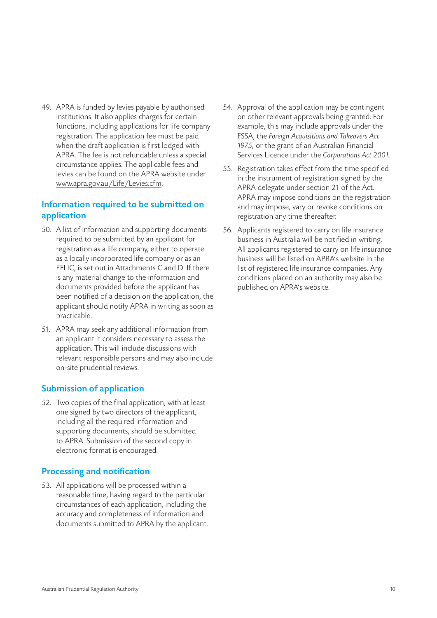49. APRA is funded by levies payable by authorised institutions. It also applies charges for certain functions, including applications for life company registration. The application fee must be paid when the draft application is first lodged with APRA. The fee is not refundable unless a special circumstance applies. The applicable fees and levies can be found on the APRA website under www.apra.gov.au/Life/Levies.cfm.

#### Information required to be submitted on application

- 50. A list of information and supporting documents required to be submitted by an applicant for registration as a life company, either to operate as a locally incorporated life company or as an EFLIC, is set out in Attachments C and D. If there is any material change to the information and documents provided before the applicant has been notified of a decision on the application, the applicant should notify APRA in writing as soon as practicable.
- 51. APRA may seek any additional information from an applicant it considers necessary to assess the application. This will include discussions with relevant responsible persons and may also include on-site prudential reviews.

#### Submission of application

52. Two copies of the final application, with at least one signed by two directors of the applicant, including all the required information and supporting documents, should be submitted to APRA. Submission of the second copy in electronic format is encouraged.

#### Processing and notification

53. All applications will be processed within a reasonable time, having regard to the particular circumstances of each application, including the accuracy and completeness of information and documents submitted to APRA by the applicant.

- 54. Approval of the application may be contingent on other relevant approvals being granted. For example, this may include approvals under the FSSA, the *Foreign Acquisitions and Takeovers Act 1975,* or the grant of an Australian Financial Services Licence under the *Corporations Act 2001.*
- 55. Registration takes effect from the time specified in the instrument of registration signed by the APRA delegate under section 21 of the Act. APRA may impose conditions on the registration and may impose, vary or revoke conditions on registration any time thereafter.
- 56. Applicants registered to carry on life insurance business in Australia will be notified in writing. All applicants registered to carry on life insurance business will be listed on APRA's website in the list of registered life insurance companies. Any conditions placed on an authority may also be published on APRA's website.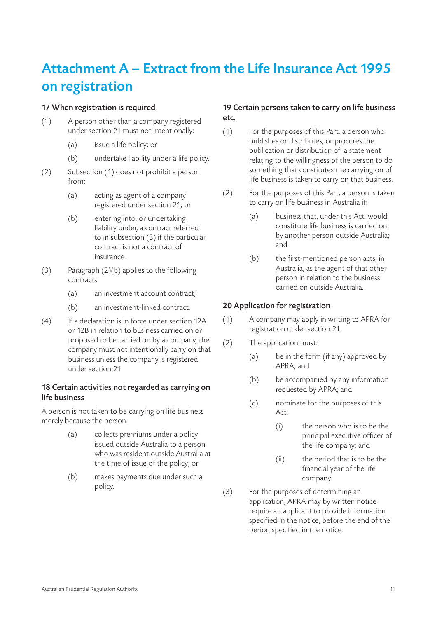# Attachment A – Extract from the Life Insurance Act 1995 on registration

#### 17 When registration is required

- (1) A person other than a company registered under section 21 must not intentionally:
	- (a) issue a life policy; or
	- (b) undertake liability under a life policy.
- (2) Subsection (1) does not prohibit a person from:
	- (a) acting as agent of a company registered under section 21; or
	- (b) entering into, or undertaking liability under, a contract referred to in subsection (3) if the particular contract is not a contract of insurance.
- (3) Paragraph (2)(b) applies to the following contracts:
	- (a) an investment account contract;
	- (b) an investment-linked contract.
- (4) If a declaration is in force under section 12A or 12B in relation to business carried on or proposed to be carried on by a company, the company must not intentionally carry on that business unless the company is registered under section 21.

#### 18 Certain activities not regarded as carrying on life business

A person is not taken to be carrying on life business merely because the person:

- (a) collects premiums under a policy issued outside Australia to a person who was resident outside Australia at the time of issue of the policy; or
- (b) makes payments due under such a policy.

#### 19 Certain persons taken to carry on life business etc.

- (1) For the purposes of this Part, a person who publishes or distributes, or procures the publication or distribution of, a statement relating to the willingness of the person to do something that constitutes the carrying on of life business is taken to carry on that business.
- (2) For the purposes of this Part, a person is taken to carry on life business in Australia if:
	- (a) business that, under this Act, would constitute life business is carried on by another person outside Australia; and
	- (b) the first-mentioned person acts, in Australia, as the agent of that other person in relation to the business carried on outside Australia.

#### 20 Application for registration

- (1) A company may apply in writing to APRA for registration under section 21.
- (2) The application must:
	- (a) be in the form (if any) approved by APRA; and
	- (b) be accompanied by any information requested by APRA; and
	- (c) nominate for the purposes of this Act:
		- (i) the person who is to be the principal executive officer of the life company; and
		- (ii) the period that is to be the financial year of the life company.
- (3) For the purposes of determining an application, APRA may by written notice require an applicant to provide information specified in the notice, before the end of the period specified in the notice.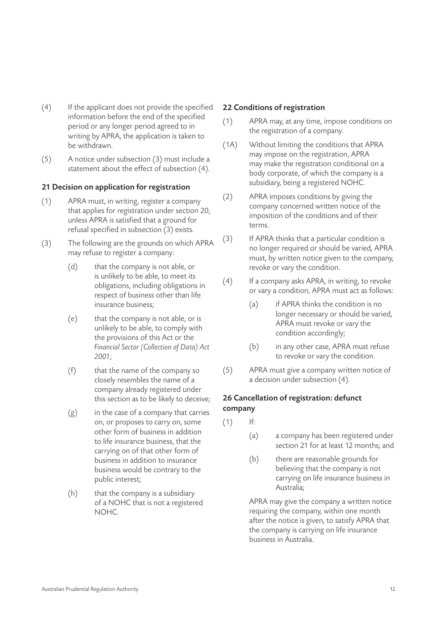- (4) If the applicant does not provide the specified information before the end of the specified period or any longer period agreed to in writing by APRA, the application is taken to be withdrawn.
- (5) A notice under subsection (3) must include a statement about the effect of subsection (4).

#### 21 Decision on application for registration

- (1) APRA must, in writing, register a company that applies for registration under section 20, unless APRA is satisfied that a ground for refusal specified in subsection (3) exists.
- (3) The following are the grounds on which APRA may refuse to register a company:
	- (d) that the company is not able, or is unlikely to be able, to meet its obligations, including obligations in respect of business other than life insurance business;
	- (e) that the company is not able, or is unlikely to be able, to comply with the provisions of this Act or the *Financial Sector (Collection of Data) Act 2001*;
	- (f) that the name of the company so closely resembles the name of a company already registered under this section as to be likely to deceive;
	- $(g)$  in the case of a company that carries on, or proposes to carry on, some other form of business in addition to life insurance business, that the carrying on of that other form of business in addition to insurance business would be contrary to the public interest;
	- (h) that the company is a subsidiary of a NOHC that is not a registered NOHC.

#### 22 Conditions of registration

- (1) APRA may, at any time, impose conditions on the registration of a company.
- (1A) Without limiting the conditions that APRA may impose on the registration, APRA may make the registration conditional on a body corporate, of which the company is a subsidiary, being a registered NOHC.
- (2) APRA imposes conditions by giving the company concerned written notice of the imposition of the conditions and of their terms.
- (3) If APRA thinks that a particular condition is no longer required or should be varied, APRA must, by written notice given to the company, revoke or vary the condition.
- (4) If a company asks APRA, in writing, to revoke or vary a condition, APRA must act as follows:
	- (a) if APRA thinks the condition is no longer necessary or should be varied, APRA must revoke or vary the condition accordingly;
	- (b) in any other case, APRA must refuse to revoke or vary the condition.
- (5) APRA must give a company written notice of a decision under subsection (4).

#### 26 Cancellation of registration: defunct company

- $(1)$  If:
	- (a) a company has been registered under section 21 for at least 12 months; and
	- (b) there are reasonable grounds for believing that the company is not carrying on life insurance business in Australia;

APRA may give the company a written notice requiring the company, within one month after the notice is given, to satisfy APRA that the company is carrying on life insurance business in Australia.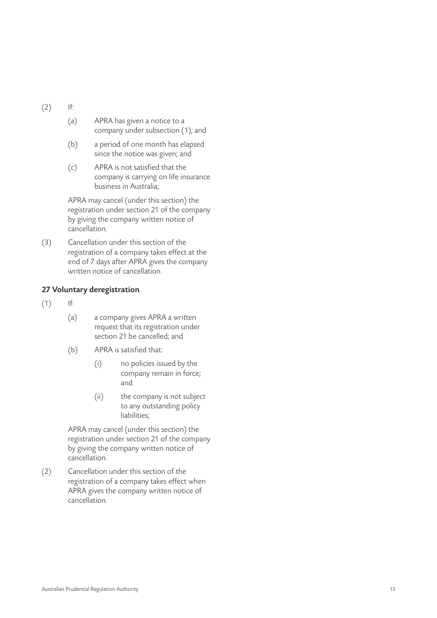- (2) If:
	- (a) APRA has given a notice to a company under subsection (1); and
	- (b) a period of one month has elapsed since the notice was given; and
	- (c) APRA is not satisfied that the company is carrying on life insurance business in Australia;

APRA may cancel (under this section) the registration under section 21 of the company by giving the company written notice of cancellation.

(3) Cancellation under this section of the registration of a company takes effect at the end of 7 days after APRA gives the company written notice of cancellation.

#### 27 Voluntary deregistration

- $(1)$  If:
	- (a) a company gives APRA a written request that its registration under section 21 be cancelled; and
	- (b) APRA is satisfied that:
		- (i) no policies issued by the company remain in force; and
		- (ii) the company is not subject to any outstanding policy liabilities;

APRA may cancel (under this section) the registration under section 21 of the company by giving the company written notice of cancellation.

(2) Cancellation under this section of the registration of a company takes effect when APRA gives the company written notice of cancellation.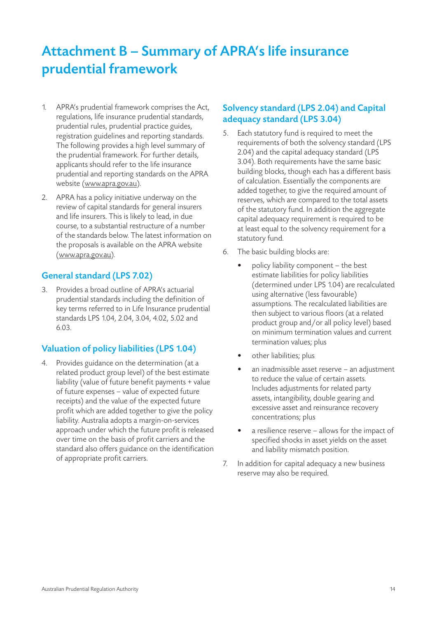# Attachment B – Summary of APRA's life insurance prudential framework

- 1. APRA's prudential framework comprises the Act, regulations, life insurance prudential standards, prudential rules, prudential practice guides, registration guidelines and reporting standards. The following provides a high level summary of the prudential framework. For further details, applicants should refer to the life insurance prudential and reporting standards on the APRA website (www.apra.gov.au).
- 2. APRA has a policy initiative underway on the review of capital standards for general insurers and life insurers. This is likely to lead, in due course, to a substantial restructure of a number of the standards below. The latest information on the proposals is available on the APRA website (www.apra.gov.au).

#### General standard (LPS 7.02)

3. Provides a broad outline of APRA's actuarial prudential standards including the definition of key terms referred to in Life Insurance prudential standards LPS 1.04, 2.04, 3.04, 4.02, 5.02 and 6.03.

#### Valuation of policy liabilities (LPS 1.04)

4. Provides guidance on the determination (at a related product group level) of the best estimate liability (value of future benefit payments + value of future expenses – value of expected future receipts) and the value of the expected future profit which are added together to give the policy liability. Australia adopts a margin-on-services approach under which the future profit is released over time on the basis of profit carriers and the standard also offers guidance on the identification of appropriate profit carriers.

#### Solvency standard (LPS 2.04) and Capital adequacy standard (LPS 3.04)

- 5. Each statutory fund is required to meet the requirements of both the solvency standard (LPS 2.04) and the capital adequacy standard (LPS 3.04). Both requirements have the same basic building blocks, though each has a different basis of calculation. Essentially the components are added together, to give the required amount of reserves, which are compared to the total assets of the statutory fund. In addition the aggregate capital adequacy requirement is required to be at least equal to the solvency requirement for a statutory fund.
- 6. The basic building blocks are:
	- policy liability component  $-$  the best estimate liabilities for policy liabilities (determined under LPS 1.04) are recalculated using alternative (less favourable) assumptions. The recalculated liabilities are then subject to various floors (at a related product group and/or all policy level) based on minimum termination values and current termination values; plus
	- other liabilities; plus
	- an inadmissible asset reserve  $-$  an adjustment to reduce the value of certain assets. Includes adjustments for related party assets, intangibility, double gearing and excessive asset and reinsurance recovery concentrations; plus
	- a resilience reserve allows for the impact of specified shocks in asset yields on the asset and liability mismatch position.
- 7. In addition for capital adequacy a new business reserve may also be required.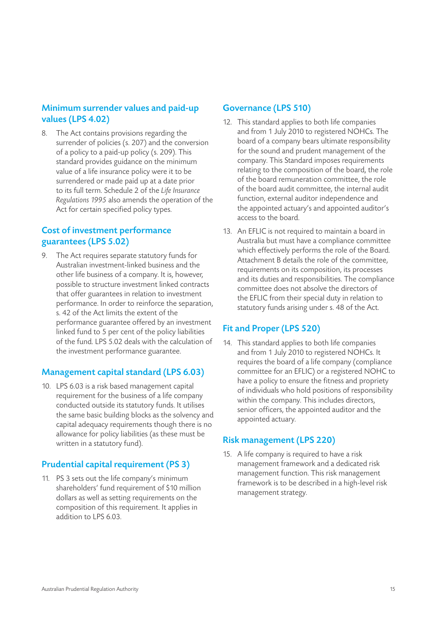#### Minimum surrender values and paid-up values (LPS 4.02)

8. The Act contains provisions regarding the surrender of policies (s. 207) and the conversion of a policy to a paid-up policy (s. 209). This standard provides guidance on the minimum value of a life insurance policy were it to be surrendered or made paid up at a date prior to its full term. Schedule 2 of the *Life Insurance Regulations 1995* also amends the operation of the Act for certain specified policy types.

#### Cost of investment performance guarantees (LPS 5.02)

9. The Act requires separate statutory funds for Australian investment-linked business and the other life business of a company. It is, however, possible to structure investment linked contracts that offer guarantees in relation to investment performance. In order to reinforce the separation, s. 42 of the Act limits the extent of the performance guarantee offered by an investment linked fund to 5 per cent of the policy liabilities of the fund. LPS 5.02 deals with the calculation of the investment performance guarantee.

#### Management capital standard (LPS 6.03)

10. LPS 6.03 is a risk based management capital requirement for the business of a life company conducted outside its statutory funds. It utilises the same basic building blocks as the solvency and capital adequacy requirements though there is no allowance for policy liabilities (as these must be written in a statutory fund).

#### Prudential capital requirement (PS 3)

11. PS 3 sets out the life company's minimum shareholders' fund requirement of \$10 million dollars as well as setting requirements on the composition of this requirement. It applies in addition to LPS 6.03.

#### Governance (LPS 510)

- 12. This standard applies to both life companies and from 1 July 2010 to registered NOHCs. The board of a company bears ultimate responsibility for the sound and prudent management of the company. This Standard imposes requirements relating to the composition of the board, the role of the board remuneration committee, the role of the board audit committee, the internal audit function, external auditor independence and the appointed actuary's and appointed auditor's access to the board.
- 13. An EFLIC is not required to maintain a board in Australia but must have a compliance committee which effectively performs the role of the Board. Attachment B details the role of the committee, requirements on its composition, its processes and its duties and responsibilities. The compliance committee does not absolve the directors of the EFLIC from their special duty in relation to statutory funds arising under s. 48 of the Act.

#### Fit and Proper (LPS 520)

14. This standard applies to both life companies and from 1 July 2010 to registered NOHCs. It requires the board of a life company (compliance committee for an EFLIC) or a registered NOHC to have a policy to ensure the fitness and propriety of individuals who hold positions of responsibility within the company. This includes directors, senior officers, the appointed auditor and the appointed actuary.

#### Risk management (LPS 220)

15. A life company is required to have a risk management framework and a dedicated risk management function. This risk management framework is to be described in a high-level risk management strategy.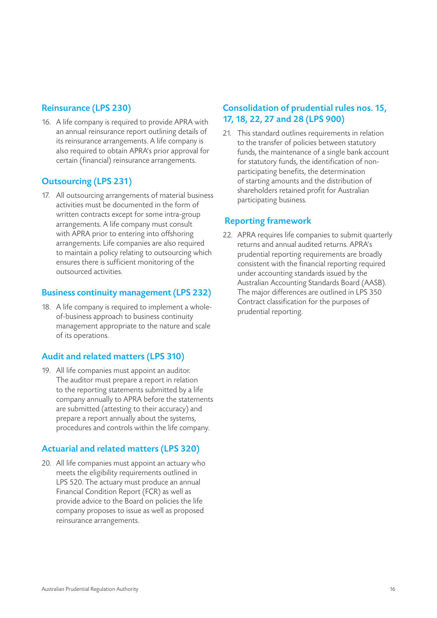#### Reinsurance (LPS 230)

16. A life company is required to provide APRA with an annual reinsurance report outlining details of its reinsurance arrangements. A life company is also required to obtain APRA's prior approval for certain (financial) reinsurance arrangements.

#### Outsourcing (LPS 231)

17. All outsourcing arrangements of material business activities must be documented in the form of written contracts except for some intra-group arrangements. A life company must consult with APRA prior to entering into offshoring arrangements. Life companies are also required to maintain a policy relating to outsourcing which ensures there is sufficient monitoring of the outsourced activities.

#### Business continuity management (LPS 232)

18. A life company is required to implement a wholeof-business approach to business continuity management appropriate to the nature and scale of its operations.

#### Audit and related matters (LPS 310)

19. All life companies must appoint an auditor. The auditor must prepare a report in relation to the reporting statements submitted by a life company annually to APRA before the statements are submitted (attesting to their accuracy) and prepare a report annually about the systems, procedures and controls within the life company.

#### Actuarial and related matters (LPS 320)

20. All life companies must appoint an actuary who meets the eligibility requirements outlined in LPS 520. The actuary must produce an annual Financial Condition Report (FCR) as well as provide advice to the Board on policies the life company proposes to issue as well as proposed reinsurance arrangements.

#### Consolidation of prudential rules nos. 15, 17, 18, 22, 27 and 28 (LPS 900)

21. This standard outlines requirements in relation to the transfer of policies between statutory funds, the maintenance of a single bank account for statutory funds, the identification of nonparticipating benefits, the determination of starting amounts and the distribution of shareholders retained profit for Australian participating business.

#### Reporting framework

22. APRA requires life companies to submit quarterly returns and annual audited returns. APRA's prudential reporting requirements are broadly consistent with the financial reporting required under accounting standards issued by the Australian Accounting Standards Board (AASB). The major differences are outlined in LPS 350 Contract classification for the purposes of prudential reporting.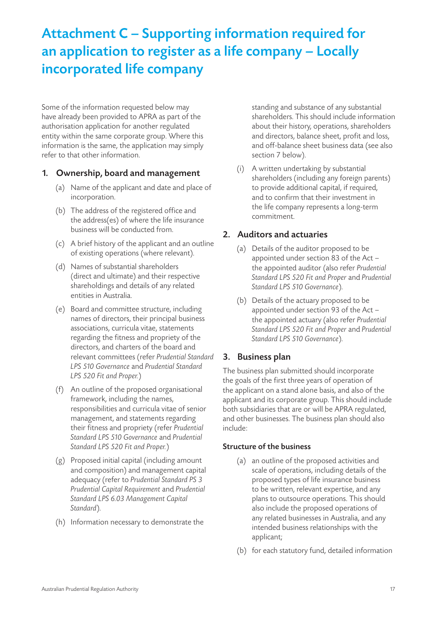# Attachment C – Supporting information required for an application to register as a life company – Locally incorporated life company

Some of the information requested below may have already been provided to APRA as part of the authorisation application for another regulated entity within the same corporate group. Where this information is the same, the application may simply refer to that other information.

#### 1. Ownership, board and management

- (a) Name of the applicant and date and place of incorporation.
- (b) The address of the registered office and the address(es) of where the life insurance business will be conducted from.
- (c) A brief history of the applicant and an outline of existing operations (where relevant).
- (d) Names of substantial shareholders (direct and ultimate) and their respective shareholdings and details of any related entities in Australia.
- (e) Board and committee structure, including names of directors, their principal business associations, curricula vitae, statements regarding the fitness and propriety of the directors, and charters of the board and relevant committees (refer *Prudential Standard LPS 510 Governance* and *Prudential Standard LPS 520 Fit and Proper.*)
- (f) An outline of the proposed organisational framework, including the names, responsibilities and curricula vitae of senior management, and statements regarding their fitness and propriety (refer *Prudential Standard LPS 510 Governance* and *Prudential Standard LPS 520 Fit and Proper.*)
- (g) Proposed initial capital (including amount and composition) and management capital adequacy (refer to *Prudential Standard PS 3 Prudential Capital Requirement* and *Prudential Standard LPS 6.03 Management Capital Standard*).
- (h) Information necessary to demonstrate the

standing and substance of any substantial shareholders. This should include information about their history, operations, shareholders and directors, balance sheet, profit and loss, and off-balance sheet business data (see also section 7 below).

(i) A written undertaking by substantial shareholders (including any foreign parents) to provide additional capital, if required, and to confirm that their investment in the life company represents a long-term commitment.

#### 2. Auditors and actuaries

- (a) Details of the auditor proposed to be appointed under section 83 of the Act – the appointed auditor (also refer *Prudential Standard LPS 520 Fit and Proper* and *Prudential Standard LPS 510 Governance*).
- (b) Details of the actuary proposed to be appointed under section 93 of the Act – the appointed actuary (also refer *Prudential Standard LPS 520 Fit and Proper* and *Prudential Standard LPS 510 Governance*).

#### 3. Business plan

The business plan submitted should incorporate the goals of the first three years of operation of the applicant on a stand alone basis, and also of the applicant and its corporate group. This should include both subsidiaries that are or will be APRA regulated, and other businesses. The business plan should also include:

#### Structure of the business

- (a) an outline of the proposed activities and scale of operations, including details of the proposed types of life insurance business to be written, relevant expertise, and any plans to outsource operations. This should also include the proposed operations of any related businesses in Australia, and any intended business relationships with the applicant;
- (b) for each statutory fund, detailed information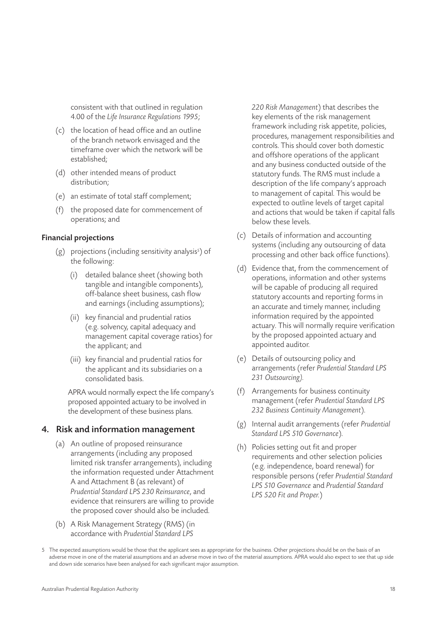consistent with that outlined in regulation 4.00 of the *Life Insurance Regulations 1995*;

- (c) the location of head office and an outline of the branch network envisaged and the timeframe over which the network will be established;
- (d) other intended means of product distribution;
- (e) an estimate of total staff complement;
- (f) the proposed date for commencement of operations; and

#### Financial projections

- (g) projections (including sensitivity analysis<sup>5</sup>) of the following:
	- (i) detailed balance sheet (showing both tangible and intangible components), off-balance sheet business, cash flow and earnings (including assumptions);
	- (ii) key financial and prudential ratios (e.g. solvency, capital adequacy and management capital coverage ratios) for the applicant; and
	- (iii) key financial and prudential ratios for the applicant and its subsidiaries on a consolidated basis.

APRA would normally expect the life company's proposed appointed actuary to be involved in the development of these business plans.

#### 4. Risk and information management

- (a) An outline of proposed reinsurance arrangements (including any proposed limited risk transfer arrangements), including the information requested under Attachment A and Attachment B (as relevant) of *Prudential Standard LPS 230 Reinsurance*, and evidence that reinsurers are willing to provide the proposed cover should also be included.
- (b) A Risk Management Strategy (RMS) (in accordance with *Prudential Standard LPS*

*220 Risk Management*) that describes the key elements of the risk management framework including risk appetite, policies, procedures, management responsibilities and controls. This should cover both domestic and offshore operations of the applicant and any business conducted outside of the statutory funds. The RMS must include a description of the life company's approach to management of capital. This would be expected to outline levels of target capital and actions that would be taken if capital falls below these levels.

- (c) Details of information and accounting systems (including any outsourcing of data processing and other back office functions).
- (d) Evidence that, from the commencement of operations, information and other systems will be capable of producing all required statutory accounts and reporting forms in an accurate and timely manner, including information required by the appointed actuary. This will normally require verification by the proposed appointed actuary and appointed auditor.
- (e) Details of outsourcing policy and arrangements (refer *Prudential Standard LPS 231 Outsourcing).*
- (f) Arrangements for business continuity management (refer *Prudential Standard LPS 232 Business Continuity Management*).
- (g) Internal audit arrangements (refer *Prudential Standard LPS 510 Governance*).
- (h) Policies setting out fit and proper requirements and other selection policies (e.g. independence, board renewal) for responsible persons (refer *Prudential Standard LPS 510 Governance* and *Prudential Standard LPS 520 Fit and Proper.*)

<sup>5</sup> The expected assumptions would be those that the applicant sees as appropriate for the business. Other projections should be on the basis of an adverse move in one of the material assumptions and an adverse move in two of the material assumptions. APRA would also expect to see that up side and down side scenarios have been analysed for each significant major assumption.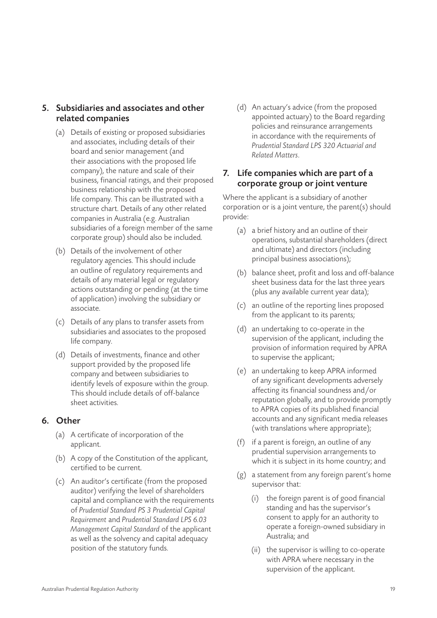#### 5. Subsidiaries and associates and other related companies

- (a) Details of existing or proposed subsidiaries and associates, including details of their board and senior management (and their associations with the proposed life company), the nature and scale of their business, financial ratings, and their proposed business relationship with the proposed life company. This can be illustrated with a structure chart. Details of any other related companies in Australia (e.g. Australian subsidiaries of a foreign member of the same corporate group) should also be included.
- (b) Details of the involvement of other regulatory agencies. This should include an outline of regulatory requirements and details of any material legal or regulatory actions outstanding or pending (at the time of application) involving the subsidiary or associate.
- (c) Details of any plans to transfer assets from subsidiaries and associates to the proposed life company.
- (d) Details of investments, finance and other support provided by the proposed life company and between subsidiaries to identify levels of exposure within the group. This should include details of off-balance sheet activities.

#### 6. Other

- (a) A certificate of incorporation of the applicant.
- (b) A copy of the Constitution of the applicant, certified to be current.
- (c) An auditor's certificate (from the proposed auditor) verifying the level of shareholders capital and compliance with the requirements of *Prudential Standard PS 3 Prudential Capital Requirement* and *Prudential Standard LPS 6.03 Management Capital Standard* of the applicant as well as the solvency and capital adequacy position of the statutory funds.

(d) An actuary's advice (from the proposed appointed actuary) to the Board regarding policies and reinsurance arrangements in accordance with the requirements of *Prudential Standard LPS 320 Actuarial and Related Matters*.

#### 7. Life companies which are part of a corporate group or joint venture

Where the applicant is a subsidiary of another corporation or is a joint venture, the parent(s) should provide:

- (a) a brief history and an outline of their operations, substantial shareholders (direct and ultimate) and directors (including principal business associations);
- (b) balance sheet, profit and loss and off-balance sheet business data for the last three years (plus any available current year data);
- (c) an outline of the reporting lines proposed from the applicant to its parents;
- (d) an undertaking to co-operate in the supervision of the applicant, including the provision of information required by APRA to supervise the applicant;
- (e) an undertaking to keep APRA informed of any significant developments adversely affecting its financial soundness and/or reputation globally, and to provide promptly to APRA copies of its published financial accounts and any significant media releases (with translations where appropriate);
- (f) if a parent is foreign, an outline of any prudential supervision arrangements to which it is subject in its home country; and
- (g) a statement from any foreign parent's home supervisor that:
	- (i) the foreign parent is of good financial standing and has the supervisor's consent to apply for an authority to operate a foreign-owned subsidiary in Australia; and
	- (ii) the supervisor is willing to co-operate with APRA where necessary in the supervision of the applicant.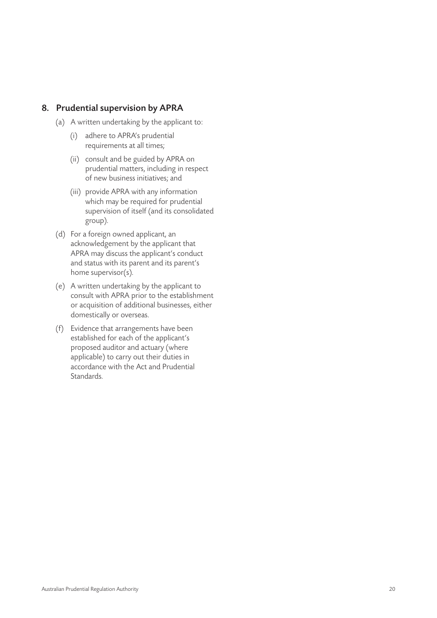#### 8. Prudential supervision by APRA

- (a) A written undertaking by the applicant to:
	- (i) adhere to APRA's prudential requirements at all times;
	- (ii) consult and be guided by APRA on prudential matters, including in respect of new business initiatives; and
	- (iii) provide APRA with any information which may be required for prudential supervision of itself (and its consolidated group).
- (d) For a foreign owned applicant, an acknowledgement by the applicant that APRA may discuss the applicant's conduct and status with its parent and its parent's home supervisor(s).
- (e) A written undertaking by the applicant to consult with APRA prior to the establishment or acquisition of additional businesses, either domestically or overseas.
- (f) Evidence that arrangements have been established for each of the applicant's proposed auditor and actuary (where applicable) to carry out their duties in accordance with the Act and Prudential **Standards**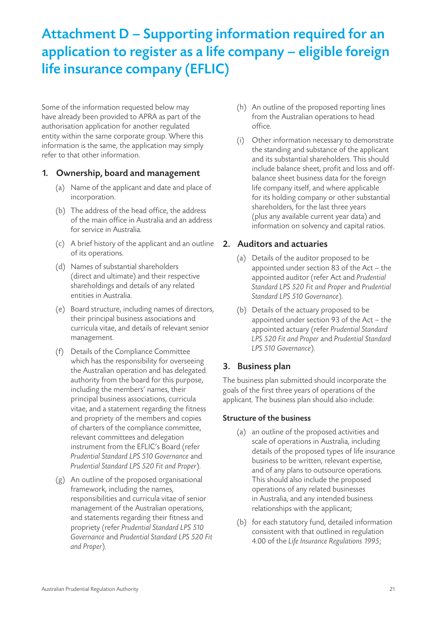# Attachment D – Supporting information required for an application to register as a life company – eligible foreign life insurance company (EFLIC)

Some of the information requested below may have already been provided to APRA as part of the authorisation application for another regulated entity within the same corporate group. Where this information is the same, the application may simply refer to that other information.

#### 1. Ownership, board and management

- (a) Name of the applicant and date and place of incorporation.
- (b) The address of the head office, the address of the main office in Australia and an address for service in Australia.
- (c) A brief history of the applicant and an outline of its operations.
- (d) Names of substantial shareholders (direct and ultimate) and their respective shareholdings and details of any related entities in Australia.
- (e) Board structure, including names of directors, their principal business associations and curricula vitae, and details of relevant senior management.
- (f) Details of the Compliance Committee which has the responsibility for overseeing the Australian operation and has delegated authority from the board for this purpose, including the members' names, their principal business associations, curricula vitae, and a statement regarding the fitness and propriety of the members and copies of charters of the compliance committee, relevant committees and delegation instrument from the EFLIC's Board (refer *Prudential Standard LPS 510 Governance* and *Prudential Standard LPS 520 Fit and Proper*).
- (g) An outline of the proposed organisational framework, including the names, responsibilities and curricula vitae of senior management of the Australian operations, and statements regarding their fitness and propriety (refer *Prudential Standard LPS 510 Governance* and *Prudential Standard LPS 520 Fit and Proper*).
- (h) An outline of the proposed reporting lines from the Australian operations to head office.
- (i) Other information necessary to demonstrate the standing and substance of the applicant and its substantial shareholders. This should include balance sheet, profit and loss and offbalance sheet business data for the foreign life company itself, and where applicable for its holding company or other substantial shareholders, for the last three years (plus any available current year data) and information on solvency and capital ratios.

#### 2. Auditors and actuaries

- (a) Details of the auditor proposed to be appointed under section 83 of the Act – the appointed auditor (refer Act and *Prudential Standard LPS 520 Fit and Proper* and *Prudential Standard LPS 510 Governance*).
- (b) Details of the actuary proposed to be appointed under section 93 of the Act – the appointed actuary (refer *Prudential Standard LPS 520 Fit and Proper* and *Prudential Standard LPS 510 Governance*).

#### 3. Business plan

The business plan submitted should incorporate the goals of the first three years of operations of the applicant. The business plan should also include:

#### Structure of the business

- (a) an outline of the proposed activities and scale of operations in Australia, including details of the proposed types of life insurance business to be written, relevant expertise, and of any plans to outsource operations. This should also include the proposed operations of any related businesses in Australia, and any intended business relationships with the applicant;
- (b) for each statutory fund, detailed information consistent with that outlined in regulation 4.00 of the *Life Insurance Regulations 1995*;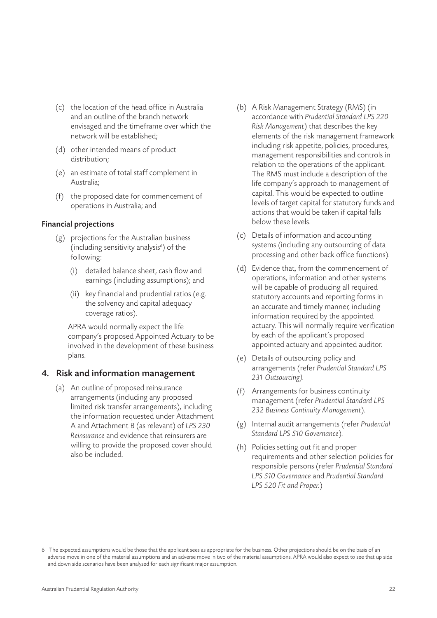- (c) the location of the head office in Australia and an outline of the branch network envisaged and the timeframe over which the network will be established;
- (d) other intended means of product distribution;
- (e) an estimate of total staff complement in Australia;
- (f) the proposed date for commencement of operations in Australia; and

#### Financial projections

- (g) projections for the Australian business (including sensitivity analysis<sup>6</sup>) of the following:
	- (i) detailed balance sheet, cash flow and earnings (including assumptions); and
	- (ii) key financial and prudential ratios (e.g. the solvency and capital adequacy coverage ratios).

APRA would normally expect the life company's proposed Appointed Actuary to be involved in the development of these business plans.

#### 4. Risk and information management

(a) An outline of proposed reinsurance arrangements (including any proposed limited risk transfer arrangements), including the information requested under Attachment A and Attachment B (as relevant) of *LPS 230 Reinsurance* and evidence that reinsurers are willing to provide the proposed cover should also be included.

- (b) A Risk Management Strategy (RMS) (in accordance with *Prudential Standard LPS 220 Risk Management*) that describes the key elements of the risk management framework including risk appetite, policies, procedures, management responsibilities and controls in relation to the operations of the applicant. The RMS must include a description of the life company's approach to management of capital. This would be expected to outline levels of target capital for statutory funds and actions that would be taken if capital falls below these levels.
- (c) Details of information and accounting systems (including any outsourcing of data processing and other back office functions).
- (d) Evidence that, from the commencement of operations, information and other systems will be capable of producing all required statutory accounts and reporting forms in an accurate and timely manner, including information required by the appointed actuary. This will normally require verification by each of the applicant's proposed appointed actuary and appointed auditor.
- (e) Details of outsourcing policy and arrangements (refer *Prudential Standard LPS 231 Outsourcing).*
- (f) Arrangements for business continuity management (refer *Prudential Standard LPS 232 Business Continuity Management*).
- (g) Internal audit arrangements (refer *Prudential Standard LPS 510 Governance*).
- (h) Policies setting out fit and proper requirements and other selection policies for responsible persons (refer *Prudential Standard LPS 510 Governance* and *Prudential Standard LPS 520 Fit and Proper.*)

<sup>6</sup> The expected assumptions would be those that the applicant sees as appropriate for the business. Other projections should be on the basis of an adverse move in one of the material assumptions and an adverse move in two of the material assumptions. APRA would also expect to see that up side and down side scenarios have been analysed for each significant major assumption.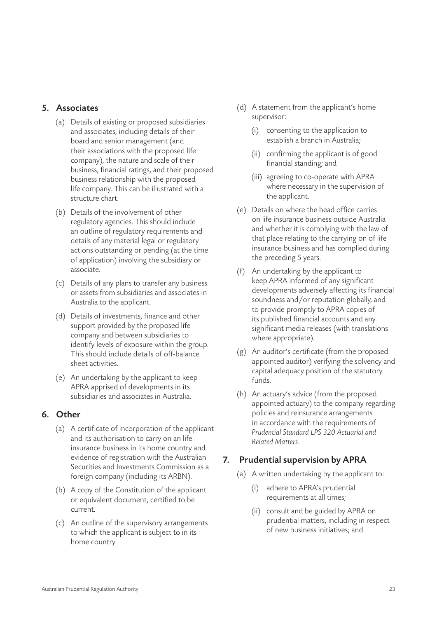#### 5. Associates

- (a) Details of existing or proposed subsidiaries and associates, including details of their board and senior management (and their associations with the proposed life company), the nature and scale of their business, financial ratings, and their proposed business relationship with the proposed life company. This can be illustrated with a structure chart.
- (b) Details of the involvement of other regulatory agencies. This should include an outline of regulatory requirements and details of any material legal or regulatory actions outstanding or pending (at the time of application) involving the subsidiary or associate.
- (c) Details of any plans to transfer any business or assets from subsidiaries and associates in Australia to the applicant.
- (d) Details of investments, finance and other support provided by the proposed life company and between subsidiaries to identify levels of exposure within the group. This should include details of off-balance sheet activities.
- (e) An undertaking by the applicant to keep APRA apprised of developments in its subsidiaries and associates in Australia.

#### 6. Other

- (a) A certificate of incorporation of the applicant and its authorisation to carry on an life insurance business in its home country and evidence of registration with the Australian Securities and Investments Commission as a foreign company (including its ARBN).
- (b) A copy of the Constitution of the applicant or equivalent document, certified to be current.
- (c) An outline of the supervisory arrangements to which the applicant is subject to in its home country.
- (d) A statement from the applicant's home supervisor:
	- (i) consenting to the application to establish a branch in Australia;
	- (ii) confirming the applicant is of good financial standing; and
	- (iii) agreeing to co-operate with APRA where necessary in the supervision of the applicant.
- (e) Details on where the head office carries on life insurance business outside Australia and whether it is complying with the law of that place relating to the carrying on of life insurance business and has complied during the preceding 5 years.
- (f) An undertaking by the applicant to keep APRA informed of any significant developments adversely affecting its financial soundness and/or reputation globally, and to provide promptly to APRA copies of its published financial accounts and any significant media releases (with translations where appropriate).
- (g) An auditor's certificate (from the proposed appointed auditor) verifying the solvency and capital adequacy position of the statutory funds.
- (h) An actuary's advice (from the proposed appointed actuary) to the company regarding policies and reinsurance arrangements in accordance with the requirements of *Prudential Standard LPS 320 Actuarial and Related Matters*.

#### 7. Prudential supervision by APRA

- (a) A written undertaking by the applicant to:
	- (i) adhere to APRA's prudential requirements at all times;
	- (ii) consult and be guided by APRA on prudential matters, including in respect of new business initiatives; and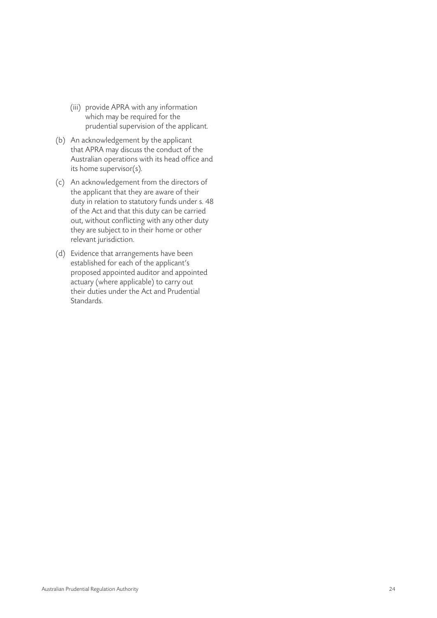- (iii) provide APRA with any information which may be required for the prudential supervision of the applicant.
- (b) An acknowledgement by the applicant that APRA may discuss the conduct of the Australian operations with its head office and its home supervisor(s).
- (c) An acknowledgement from the directors of the applicant that they are aware of their duty in relation to statutory funds under s. 48 of the Act and that this duty can be carried out, without conflicting with any other duty they are subject to in their home or other relevant jurisdiction.
- (d) Evidence that arrangements have been established for each of the applicant's proposed appointed auditor and appointed actuary (where applicable) to carry out their duties under the Act and Prudential Standards.